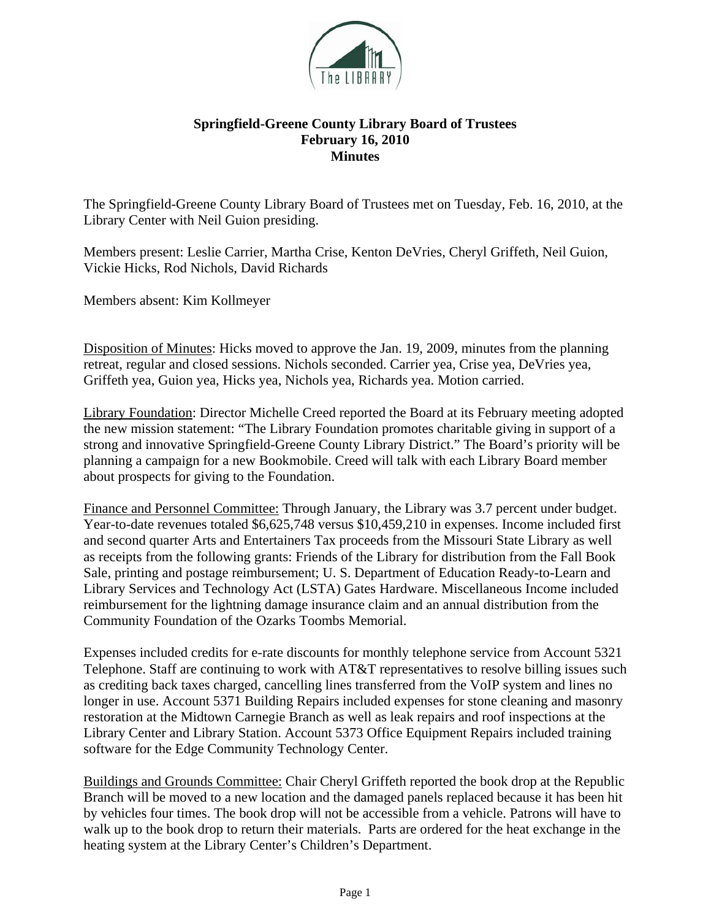

## **Springfield-Greene County Library Board of Trustees February 16, 2010 Minutes**

The Springfield-Greene County Library Board of Trustees met on Tuesday, Feb. 16, 2010, at the Library Center with Neil Guion presiding.

Members present: Leslie Carrier, Martha Crise, Kenton DeVries, Cheryl Griffeth, Neil Guion, Vickie Hicks, Rod Nichols, David Richards

Members absent: Kim Kollmeyer

Disposition of Minutes: Hicks moved to approve the Jan. 19, 2009, minutes from the planning retreat, regular and closed sessions. Nichols seconded. Carrier yea, Crise yea, DeVries yea, Griffeth yea, Guion yea, Hicks yea, Nichols yea, Richards yea. Motion carried.

Library Foundation: Director Michelle Creed reported the Board at its February meeting adopted the new mission statement: "The Library Foundation promotes charitable giving in support of a strong and innovative Springfield-Greene County Library District." The Board's priority will be planning a campaign for a new Bookmobile. Creed will talk with each Library Board member about prospects for giving to the Foundation.

Finance and Personnel Committee: Through January, the Library was 3.7 percent under budget. Year-to-date revenues totaled \$6,625,748 versus \$10,459,210 in expenses. Income included first and second quarter Arts and Entertainers Tax proceeds from the Missouri State Library as well as receipts from the following grants: Friends of the Library for distribution from the Fall Book Sale, printing and postage reimbursement; U. S. Department of Education Ready-to-Learn and Library Services and Technology Act (LSTA) Gates Hardware. Miscellaneous Income included reimbursement for the lightning damage insurance claim and an annual distribution from the Community Foundation of the Ozarks Toombs Memorial.

Expenses included credits for e-rate discounts for monthly telephone service from Account 5321 Telephone. Staff are continuing to work with AT&T representatives to resolve billing issues such as crediting back taxes charged, cancelling lines transferred from the VoIP system and lines no longer in use. Account 5371 Building Repairs included expenses for stone cleaning and masonry restoration at the Midtown Carnegie Branch as well as leak repairs and roof inspections at the Library Center and Library Station. Account 5373 Office Equipment Repairs included training software for the Edge Community Technology Center.

Buildings and Grounds Committee: Chair Cheryl Griffeth reported the book drop at the Republic Branch will be moved to a new location and the damaged panels replaced because it has been hit by vehicles four times. The book drop will not be accessible from a vehicle. Patrons will have to walk up to the book drop to return their materials. Parts are ordered for the heat exchange in the heating system at the Library Center's Children's Department.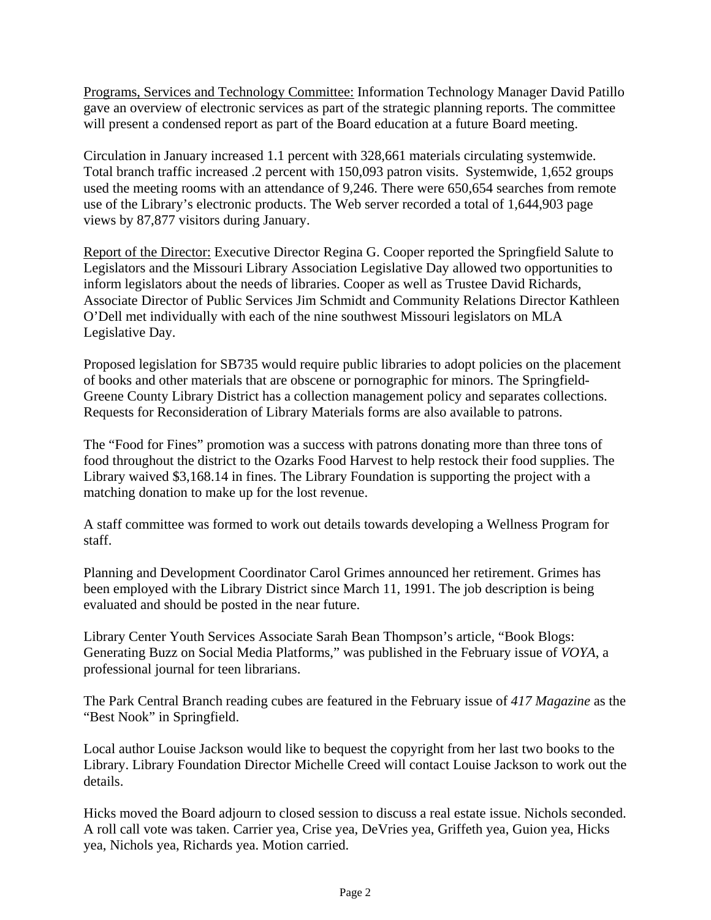Programs, Services and Technology Committee: Information Technology Manager David Patillo gave an overview of electronic services as part of the strategic planning reports. The committee will present a condensed report as part of the Board education at a future Board meeting.

Circulation in January increased 1.1 percent with 328,661 materials circulating systemwide. Total branch traffic increased .2 percent with 150,093 patron visits. Systemwide, 1,652 groups used the meeting rooms with an attendance of 9,246. There were 650,654 searches from remote use of the Library's electronic products. The Web server recorded a total of 1,644,903 page views by 87,877 visitors during January.

Report of the Director: Executive Director Regina G. Cooper reported the Springfield Salute to Legislators and the Missouri Library Association Legislative Day allowed two opportunities to inform legislators about the needs of libraries. Cooper as well as Trustee David Richards, Associate Director of Public Services Jim Schmidt and Community Relations Director Kathleen O'Dell met individually with each of the nine southwest Missouri legislators on MLA Legislative Day.

Proposed legislation for SB735 would require public libraries to adopt policies on the placement of books and other materials that are obscene or pornographic for minors. The Springfield-Greene County Library District has a collection management policy and separates collections. Requests for Reconsideration of Library Materials forms are also available to patrons.

The "Food for Fines" promotion was a success with patrons donating more than three tons of food throughout the district to the Ozarks Food Harvest to help restock their food supplies. The Library waived \$3,168.14 in fines. The Library Foundation is supporting the project with a matching donation to make up for the lost revenue.

A staff committee was formed to work out details towards developing a Wellness Program for staff.

Planning and Development Coordinator Carol Grimes announced her retirement. Grimes has been employed with the Library District since March 11, 1991. The job description is being evaluated and should be posted in the near future.

Library Center Youth Services Associate Sarah Bean Thompson's article, "Book Blogs: Generating Buzz on Social Media Platforms," was published in the February issue of *VOYA*, a professional journal for teen librarians.

The Park Central Branch reading cubes are featured in the February issue of *417 Magazine* as the "Best Nook" in Springfield.

Local author Louise Jackson would like to bequest the copyright from her last two books to the Library. Library Foundation Director Michelle Creed will contact Louise Jackson to work out the details.

Hicks moved the Board adjourn to closed session to discuss a real estate issue. Nichols seconded. A roll call vote was taken. Carrier yea, Crise yea, DeVries yea, Griffeth yea, Guion yea, Hicks yea, Nichols yea, Richards yea. Motion carried.